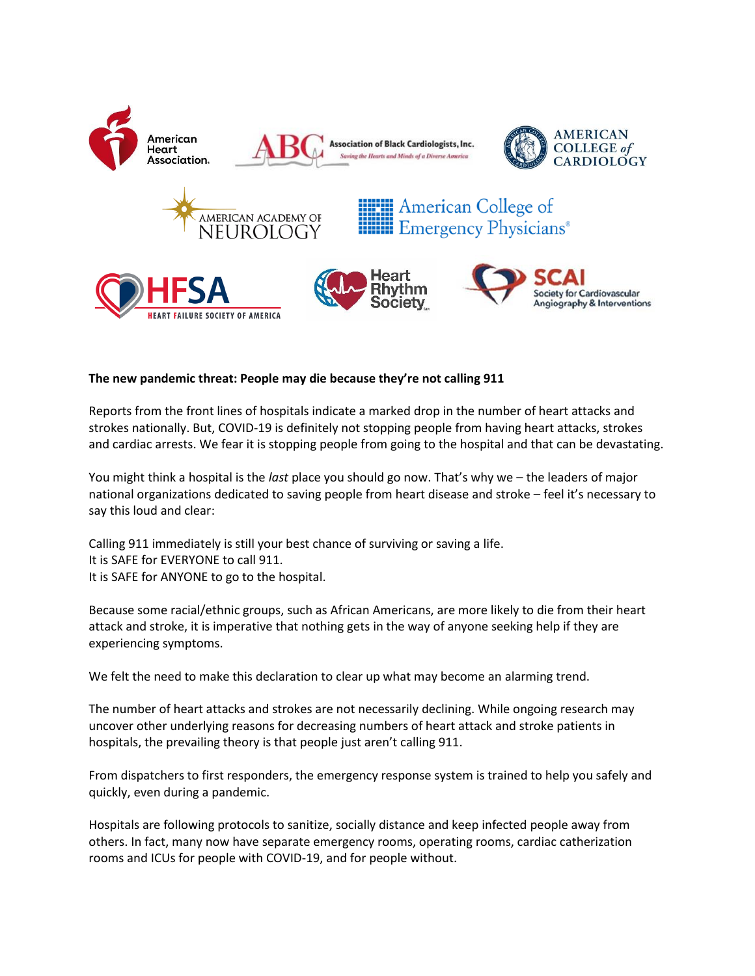

## **The new pandemic threat: People may die because they're not calling 911**

Reports from the front lines of hospitals indicate a marked drop in the number of heart attacks and strokes nationally. But, COVID-19 is definitely not stopping people from having heart attacks, strokes and cardiac arrests. We fear it is stopping people from going to the hospital and that can be devastating.

You might think a hospital is the *last* place you should go now. That's why we – the leaders of major national organizations dedicated to saving people from heart disease and stroke – feel it's necessary to say this loud and clear:

Calling 911 immediately is still your best chance of surviving or saving a life. It is SAFE for EVERYONE to call 911. It is SAFE for ANYONE to go to the hospital.

Because some racial/ethnic groups, such as African Americans, are more likely to die from their heart attack and stroke, it is imperative that nothing gets in the way of anyone seeking help if they are experiencing symptoms.

We felt the need to make this declaration to clear up what may become an alarming trend.

The number of heart attacks and strokes are not necessarily declining. While ongoing research may uncover other underlying reasons for decreasing numbers of heart attack and stroke patients in hospitals, the prevailing theory is that people just aren't calling 911.

From dispatchers to first responders, the emergency response system is trained to help you safely and quickly, even during a pandemic.

Hospitals are following protocols to sanitize, socially distance and keep infected people away from others. In fact, many now have separate emergency rooms, operating rooms, cardiac catherization rooms and ICUs for people with COVID-19, and for people without.